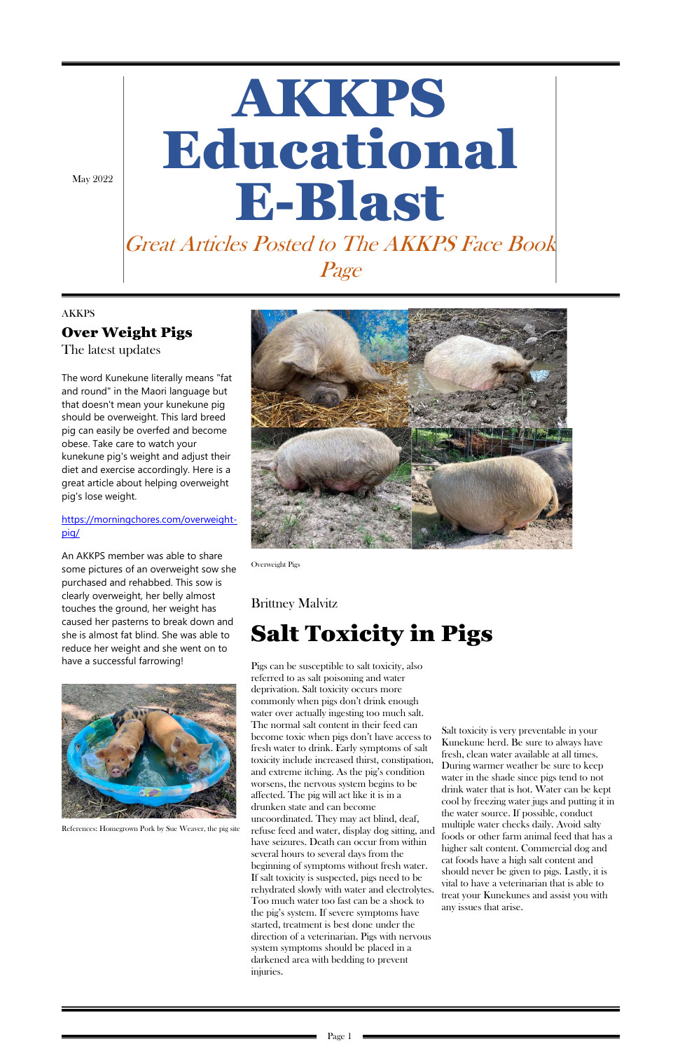May 2022

# AKKPS Educational E-Blast

Great Articles Posted to The AKKPS Face Book Page

#### AKKPS

#### Over Weight Pigs

The latest updates

The word Kunekune literally means "fat and round" in the Maori language but that doesn't mean your kunekune pig should be overweight. This lard breed pig can easily be overfed and become obese. Take care to watch your kunekune pig's weight and adjust their diet and exercise accordingly. Here is a great article about helping overweight pig's lose weight.

#### https://morningchores.com/overweightpig/

An AKKPS member was able to share some pictures of an overweight sow she purchased and rehabbed. This sow is clearly overweight, her belly almost touches the ground, her weight has caused her pasterns to break down and she is almost fat blind. She was able to reduce her weight and she went on to have a successful farrowing!





Overweight Pigs

Brittney Malvitz

## Salt Toxicity in Pigs

Pigs can be susceptible to salt toxicity, also referred to as salt poisoning and water deprivation. Salt toxicity occurs more commonly when pigs don't drink enough water over actually ingesting too much salt. The normal salt content in their feed can become toxic when pigs don't have access to fresh water to drink. Early symptoms of salt toxicity include increased thirst, constipation, and extreme itching. As the pig's condition worsens, the nervous system begins to be affected. The pig will act like it is in a drunken state and can become uncoordinated. They may act blind, deaf, refuse feed and water, display dog sitting, and have seizures. Death can occur from within several hours to several days from the beginning of symptoms without fresh water. If salt toxicity is suspected, pigs need to be rehydrated slowly with water and electrolytes. Too much water too fast can be a shock to the pig's system. If severe symptoms have started, treatment is best done under the direction of a veterinarian. Pigs with nervous system symptoms should be placed in a darkened area with bedding to prevent injuries.

Salt toxicity is very preventable in your Kunekune herd. Be sure to always have fresh, clean water available at all times. During warmer weather be sure to keep water in the shade since pigs tend to not drink water that is hot. Water can be kept cool by freezing water jugs and putting it in the water source. If possible, conduct multiple water checks daily. Avoid salty foods or other farm animal feed that has a higher salt content. Commercial dog and cat foods have a high salt content and should never be given to pigs. Lastly, it is vital to have a veterinarian that is able to treat your Kunekunes and assist you with any issues that arise.

References: Homegrown Pork by Sue Weaver, the pig site